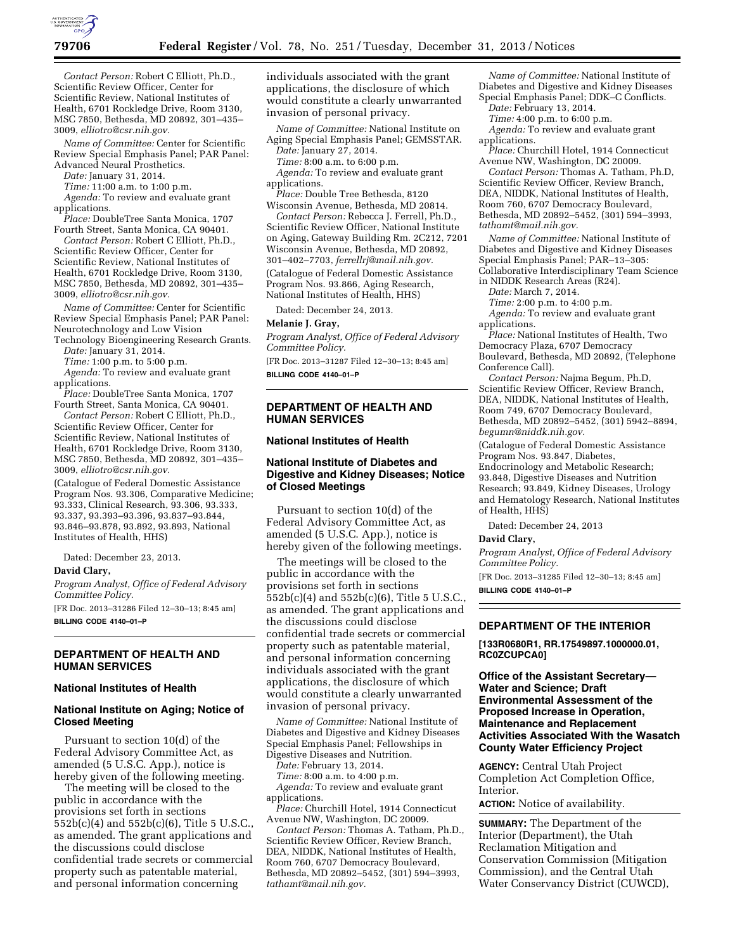

*Contact Person:* Robert C Elliott, Ph.D., Scientific Review Officer, Center for Scientific Review, National Institutes of Health, 6701 Rockledge Drive, Room 3130, MSC 7850, Bethesda, MD 20892, 301–435– 3009, *[elliotro@csr.nih.gov.](mailto:elliotro@csr.nih.gov)* 

*Name of Committee:* Center for Scientific Review Special Emphasis Panel; PAR Panel: Advanced Neural Prosthetics.

*Date:* January 31, 2014.

*Time:* 11:00 a.m. to 1:00 p.m.

*Agenda:* To review and evaluate grant applications.

*Place:* DoubleTree Santa Monica, 1707 Fourth Street, Santa Monica, CA 90401.

*Contact Person:* Robert C Elliott, Ph.D., Scientific Review Officer, Center for Scientific Review, National Institutes of Health, 6701 Rockledge Drive, Room 3130, MSC 7850, Bethesda, MD 20892, 301–435– 3009, *[elliotro@csr.nih.gov.](mailto:elliotro@csr.nih.gov)* 

*Name of Committee:* Center for Scientific Review Special Emphasis Panel; PAR Panel: Neurotechnology and Low Vision Technology Bioengineering Research Grants.

*Date:* January 31, 2014.

*Time:* 1:00 p.m. to 5:00 p.m.

*Agenda:* To review and evaluate grant applications.

*Place:* DoubleTree Santa Monica, 1707 Fourth Street, Santa Monica, CA 90401.

*Contact Person:* Robert C Elliott, Ph.D., Scientific Review Officer, Center for Scientific Review, National Institutes of Health, 6701 Rockledge Drive, Room 3130, MSC 7850, Bethesda, MD 20892, 301–435– 3009, *[elliotro@csr.nih.gov.](mailto:elliotro@csr.nih.gov)* 

(Catalogue of Federal Domestic Assistance Program Nos. 93.306, Comparative Medicine; 93.333, Clinical Research, 93.306, 93.333, 93.337, 93.393–93.396, 93.837–93.844, 93.846–93.878, 93.892, 93.893, National Institutes of Health, HHS)

Dated: December 23, 2013.

#### **David Clary,**

*Program Analyst, Office of Federal Advisory Committee Policy.* 

[FR Doc. 2013–31286 Filed 12–30–13; 8:45 am] **BILLING CODE 4140–01–P** 

## **DEPARTMENT OF HEALTH AND HUMAN SERVICES**

#### **National Institutes of Health**

## **National Institute on Aging; Notice of Closed Meeting**

Pursuant to section 10(d) of the Federal Advisory Committee Act, as amended (5 U.S.C. App.), notice is hereby given of the following meeting.

The meeting will be closed to the public in accordance with the provisions set forth in sections 552b(c)(4) and 552b(c)(6), Title 5 U.S.C., as amended. The grant applications and the discussions could disclose confidential trade secrets or commercial property such as patentable material, and personal information concerning

individuals associated with the grant applications, the disclosure of which would constitute a clearly unwarranted invasion of personal privacy.

*Name of Committee:* National Institute on Aging Special Emphasis Panel; GEMSSTAR.

*Date:* January 27, 2014. *Time:* 8:00 a.m. to 6:00 p.m.

*Agenda:* To review and evaluate grant applications.

*Place:* Double Tree Bethesda, 8120 Wisconsin Avenue, Bethesda, MD 20814.

*Contact Person:* Rebecca J. Ferrell, Ph.D., Scientific Review Officer, National Institute on Aging, Gateway Building Rm. 2C212, 7201 Wisconsin Avenue, Bethesda, MD 20892, 301–402–7703, *[ferrellrj@mail.nih.gov.](mailto:ferrellrj@mail.nih.gov)* 

(Catalogue of Federal Domestic Assistance Program Nos. 93.866, Aging Research, National Institutes of Health, HHS)

Dated: December 24, 2013.

#### **Melanie J. Gray,**

*Program Analyst, Office of Federal Advisory Committee Policy.* 

[FR Doc. 2013–31287 Filed 12–30–13; 8:45 am] **BILLING CODE 4140–01–P** 

**DEPARTMENT OF HEALTH AND HUMAN SERVICES** 

#### **National Institutes of Health**

## **National Institute of Diabetes and Digestive and Kidney Diseases; Notice of Closed Meetings**

Pursuant to section 10(d) of the Federal Advisory Committee Act, as amended (5 U.S.C. App.), notice is hereby given of the following meetings.

The meetings will be closed to the public in accordance with the provisions set forth in sections 552b(c)(4) and 552b(c)(6), Title 5 U.S.C., as amended. The grant applications and the discussions could disclose confidential trade secrets or commercial property such as patentable material, and personal information concerning individuals associated with the grant applications, the disclosure of which would constitute a clearly unwarranted invasion of personal privacy.

*Name of Committee:* National Institute of Diabetes and Digestive and Kidney Diseases Special Emphasis Panel; Fellowships in Digestive Diseases and Nutrition.

*Date:* February 13, 2014.

*Time:* 8:00 a.m. to 4:00 p.m. *Agenda:* To review and evaluate grant applications.

*Place:* Churchill Hotel, 1914 Connecticut Avenue NW, Washington, DC 20009.

*Contact Person:* Thomas A. Tatham, Ph.D., Scientific Review Officer, Review Branch, DEA, NIDDK, National Institutes of Health, Room 760, 6707 Democracy Boulevard, Bethesda, MD 20892–5452, (301) 594–3993, *[tathamt@mail.nih.gov.](mailto:tathamt@mail.nih.gov)* 

*Name of Committee:* National Institute of Diabetes and Digestive and Kidney Diseases Special Emphasis Panel; DDK–C Conflicts. *Date:* February 13, 2014.

*Time:* 4:00 p.m. to 6:00 p.m. *Agenda:* To review and evaluate grant applications.

*Place:* Churchill Hotel, 1914 Connecticut Avenue NW, Washington, DC 20009.

*Contact Person:* Thomas A. Tatham, Ph.D, Scientific Review Officer, Review Branch, DEA, NIDDK, National Institutes of Health, Room 760, 6707 Democracy Boulevard, Bethesda, MD 20892–5452, (301) 594–3993, *[tathamt@mail.nih.gov.](mailto:tathamt@mail.nih.gov)* 

*Name of Committee:* National Institute of Diabetes and Digestive and Kidney Diseases Special Emphasis Panel; PAR–13–305: Collaborative Interdisciplinary Team Science

in NIDDK Research Areas (R24). *Date:* March 7, 2014.

*Time:* 2:00 p.m. to 4:00 p.m.

*Agenda:* To review and evaluate grant applications.

*Place:* National Institutes of Health, Two Democracy Plaza, 6707 Democracy Boulevard, Bethesda, MD 20892, (Telephone Conference Call).

*Contact Person:* Najma Begum, Ph.D, Scientific Review Officer, Review Branch, DEA, NIDDK, National Institutes of Health, Room 749, 6707 Democracy Boulevard, Bethesda, MD 20892–5452, (301) 5942–8894, *[begumn@niddk.nih.gov.](mailto:begumn@niddk.nih.gov)* 

(Catalogue of Federal Domestic Assistance Program Nos. 93.847, Diabetes, Endocrinology and Metabolic Research; 93.848, Digestive Diseases and Nutrition Research; 93.849, Kidney Diseases, Urology

and Hematology Research, National Institutes of Health, HHS)

Dated: December 24, 2013

## **David Clary,**

*Program Analyst, Office of Federal Advisory Committee Policy.* 

[FR Doc. 2013–31285 Filed 12–30–13; 8:45 am] **BILLING CODE 4140–01–P** 

#### **DEPARTMENT OF THE INTERIOR**

**[133R0680R1, RR.17549897.1000000.01, RC0ZCUPCA0]** 

## **Office of the Assistant Secretary— Water and Science; Draft Environmental Assessment of the Proposed Increase in Operation, Maintenance and Replacement Activities Associated With the Wasatch County Water Efficiency Project**

**AGENCY:** Central Utah Project Completion Act Completion Office, Interior.

**ACTION:** Notice of availability.

**SUMMARY:** The Department of the Interior (Department), the Utah Reclamation Mitigation and Conservation Commission (Mitigation Commission), and the Central Utah Water Conservancy District (CUWCD),